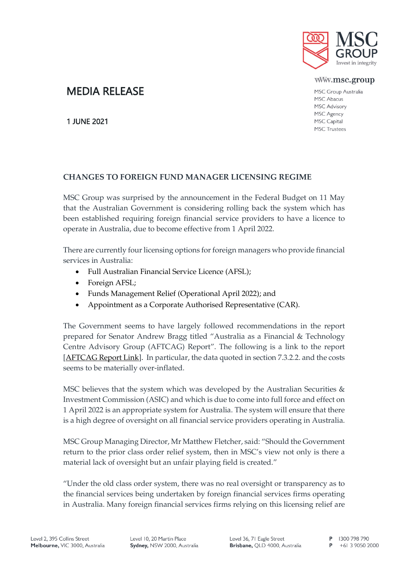

#### www.msc.group

MSC Group Australia MSC Abacus MSC Advisory MSC Agency MSC Capital **MSC Trustees** 

# MEDIA RELEASE

1 JUNE 2021

# **CHANGES TO FOREIGN FUND MANAGER LICENSING REGIME**

MSC Group was surprised by the announcement in the Federal Budget on 11 May that the Australian Government is considering rolling back the system which has been established requiring foreign financial service providers to have a licence to operate in Australia, due to become effective from 1 April 2022.

There are currently four licensing options for foreign managers who provide financial services in Australia:

- Full Australian Financial Service Licence (AFSL);
- Foreign AFSL;
- Funds Management Relief (Operational April 2022); and
- Appointment as a Corporate Authorised Representative (CAR).

The Government seems to have largely followed recommendations in the report prepared for Senator Andrew Bragg titled "Australia as a Financial & Technology Centre Advisory Group (AFTCAG) Report". The following is a link to the report [\[AFTCAG Report Link\]](https://assets.website-files.com/6080bc3bbbffd3f769ae5d7b/6080bc3bbbffd37ea5ae5ee3_AFTCAG%20Report%20-%2001.02.21%20-%20(WEB)-2.pdf). In particular, the data quoted in section 7.3.2.2. and the costs seems to be materially over-inflated.

MSC believes that the system which was developed by the Australian Securities & Investment Commission (ASIC) and which is due to come into full force and effect on 1 April 2022 is an appropriate system for Australia. The system will ensure that there is a high degree of oversight on all financial service providers operating in Australia.

MSC Group Managing Director, Mr Matthew Fletcher, said: "Should the Government return to the prior class order relief system, then in MSC's view not only is there a material lack of oversight but an unfair playing field is created."

"Under the old class order system, there was no real oversight or transparency as to the financial services being undertaken by foreign financial services firms operating in Australia. Many foreign financial services firms relying on this licensing relief are

Level 10, 20 Martin Place Sydney, NSW 2000, Australia